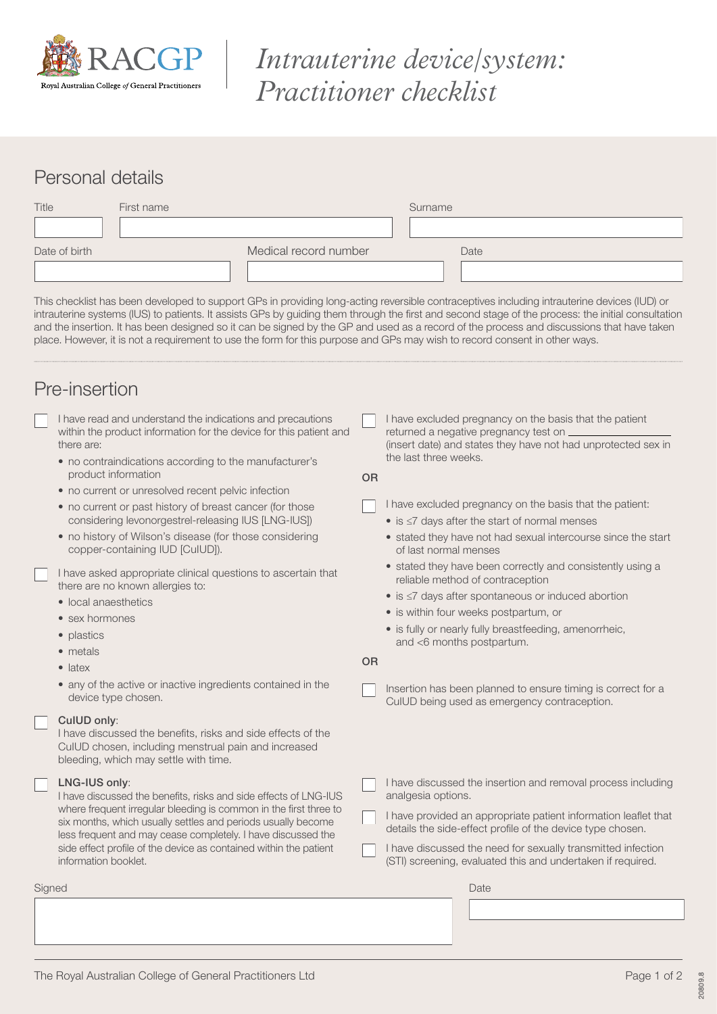

# *Intrauterine device/system: Practitioner checklist*

# Personal details

| Title         | First name |                       | Surname |      |
|---------------|------------|-----------------------|---------|------|
|               |            |                       |         |      |
| Date of birth |            | Medical record number |         | Date |
|               |            |                       |         |      |

This checklist has been developed to support GPs in providing long-acting reversible contraceptives including intrauterine devices (IUD) or intrauterine systems (IUS) to patients. It assists GPs by guiding them through the first and second stage of the process: the initial consultation and the insertion. It has been designed so it can be signed by the GP and used as a record of the process and discussions that have taken place. However, it is not a requirement to use the form for this purpose and GPs may wish to record consent in other ways.

## Pre-insertion

- I have read and understand the indications and precautions within the product information for the device for this patient and there are:
	- no contraindications according to the manufacturer's product information
	- no current or unresolved recent pelvic infection
	- no current or past history of breast cancer (for those considering levonorgestrel-releasing IUS [LNG-IUS])
	- no history of Wilson's disease (for those considering copper-containing IUD [CuIUD]).

 I have asked appropriate clinical questions to ascertain that there are no known allergies to:

- local anaesthetics
- sex hormones
- plastics
- metals
- latex
- any of the active or inactive ingredients contained in the device type chosen.

#### CuIUD only:

I have discussed the benefits, risks and side effects of the CuIUD chosen, including menstrual pain and increased bleeding, which may settle with time.

#### LNG-IUS only:

I have discussed the benefits, risks and side effects of LNG-IUS where frequent irregular bleeding is common in the first three to six months, which usually settles and periods usually become less frequent and may cease completely. I have discussed the side effect profile of the device as contained within the patient information booklet.

Signed **Date of the Contract of Contract Contract of Contract Contract Contract Contract Contract Contract Contract Contract Contract Contract Contract Contract Contract Contract Contract Contract Contract Contract Contrac** 

 I have excluded pregnancy on the basis that the patient returned a negative pregnancy test on (insert date) and states they have not had unprotected sex in the last three weeks.

OR

- $\Box$  I have excluded pregnancy on the basis that the patient:
	- is ≤7 days after the start of normal menses
	- stated they have not had sexual intercourse since the start of last normal menses
	- stated they have been correctly and consistently using a reliable method of contraception
	- is ≤7 days after spontaneous or induced abortion
	- is within four weeks postpartum, or
	- is fully or nearly fully breastfeeding, amenorrheic, and <6 months postpartum.

OR

- Insertion has been planned to ensure timing is correct for a CuIUD being used as emergency contraception.
- I have discussed the insertion and removal process including analgesia options.
- I have provided an appropriate patient information leaflet that details the side-effect profile of the device type chosen.
- I have discussed the need for sexually transmitted infection (STI) screening, evaluated this and undertaken if required.

 $\begin{array}{c} \hline \end{array}$ 

20809.8